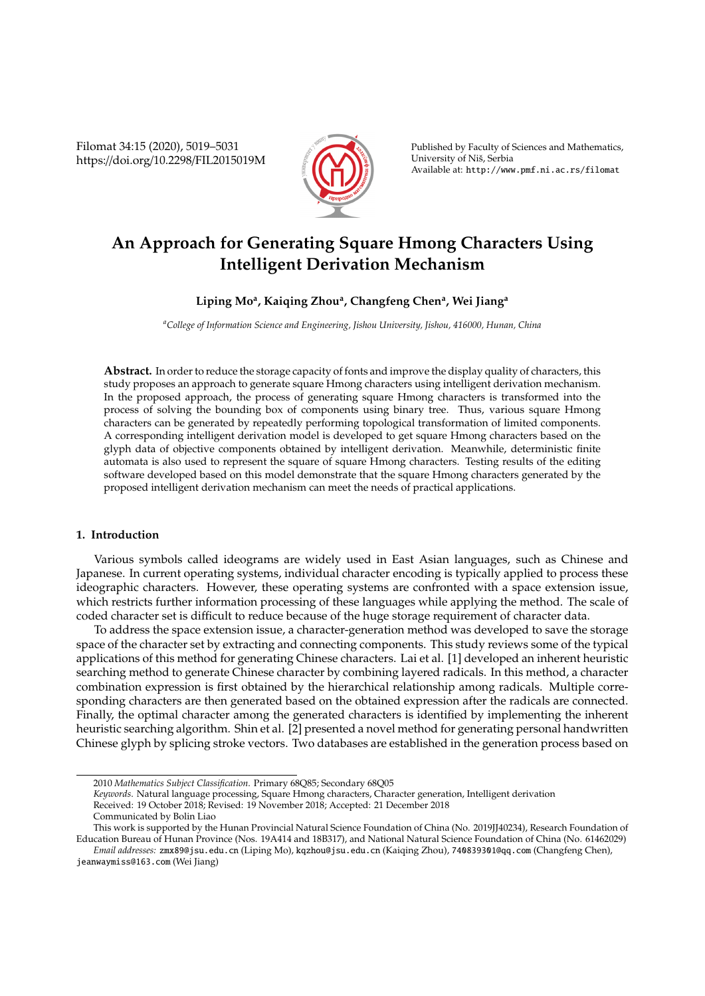Filomat 34:15 (2020), 5019–5031 https://doi.org/10.2298/FIL2015019M



Published by Faculty of Sciences and Mathematics, University of Niš, Serbia Available at: http://www.pmf.ni.ac.rs/filomat

# **An Approach for Generating Square Hmong Characters Using Intelligent Derivation Mechanism**

## **Liping Mo<sup>a</sup> , Kaiqing Zhou<sup>a</sup> , Changfeng Chen<sup>a</sup> , Wei Jiang<sup>a</sup>**

*<sup>a</sup>College of Information Science and Engineering, Jishou University, Jishou, 416000, Hunan, China*

**Abstract.** In order to reduce the storage capacity of fonts and improve the display quality of characters, this study proposes an approach to generate square Hmong characters using intelligent derivation mechanism. In the proposed approach, the process of generating square Hmong characters is transformed into the process of solving the bounding box of components using binary tree. Thus, various square Hmong characters can be generated by repeatedly performing topological transformation of limited components. A corresponding intelligent derivation model is developed to get square Hmong characters based on the glyph data of objective components obtained by intelligent derivation. Meanwhile, deterministic finite automata is also used to represent the square of square Hmong characters. Testing results of the editing software developed based on this model demonstrate that the square Hmong characters generated by the proposed intelligent derivation mechanism can meet the needs of practical applications.

## **1. Introduction**

Various symbols called ideograms are widely used in East Asian languages, such as Chinese and Japanese. In current operating systems, individual character encoding is typically applied to process these ideographic characters. However, these operating systems are confronted with a space extension issue, which restricts further information processing of these languages while applying the method. The scale of coded character set is difficult to reduce because of the huge storage requirement of character data.

To address the space extension issue, a character-generation method was developed to save the storage space of the character set by extracting and connecting components. This study reviews some of the typical applications of this method for generating Chinese characters. Lai et al. [1] developed an inherent heuristic searching method to generate Chinese character by combining layered radicals. In this method, a character combination expression is first obtained by the hierarchical relationship among radicals. Multiple corresponding characters are then generated based on the obtained expression after the radicals are connected. Finally, the optimal character among the generated characters is identified by implementing the inherent heuristic searching algorithm. Shin et al. [2] presented a novel method for generating personal handwritten Chinese glyph by splicing stroke vectors. Two databases are established in the generation process based on

jeanwaymiss@163.com (Wei Jiang)

<sup>2010</sup> *Mathematics Subject Classification*. Primary 68Q85; Secondary 68Q05

*Keywords*. Natural language processing, Square Hmong characters, Character generation, Intelligent derivation

Received: 19 October 2018; Revised: 19 November 2018; Accepted: 21 December 2018

Communicated by Bolin Liao

This work is supported by the Hunan Provincial Natural Science Foundation of China (No. 2019JJ40234), Research Foundation of Education Bureau of Hunan Province (Nos. 19A414 and 18B317), and National Natural Science Foundation of China (No. 61462029) *Email addresses:* zmx89@jsu.edu.cn (Liping Mo), kqzhou@jsu.edu.cn (Kaiqing Zhou), 740839301@qq.com (Changfeng Chen),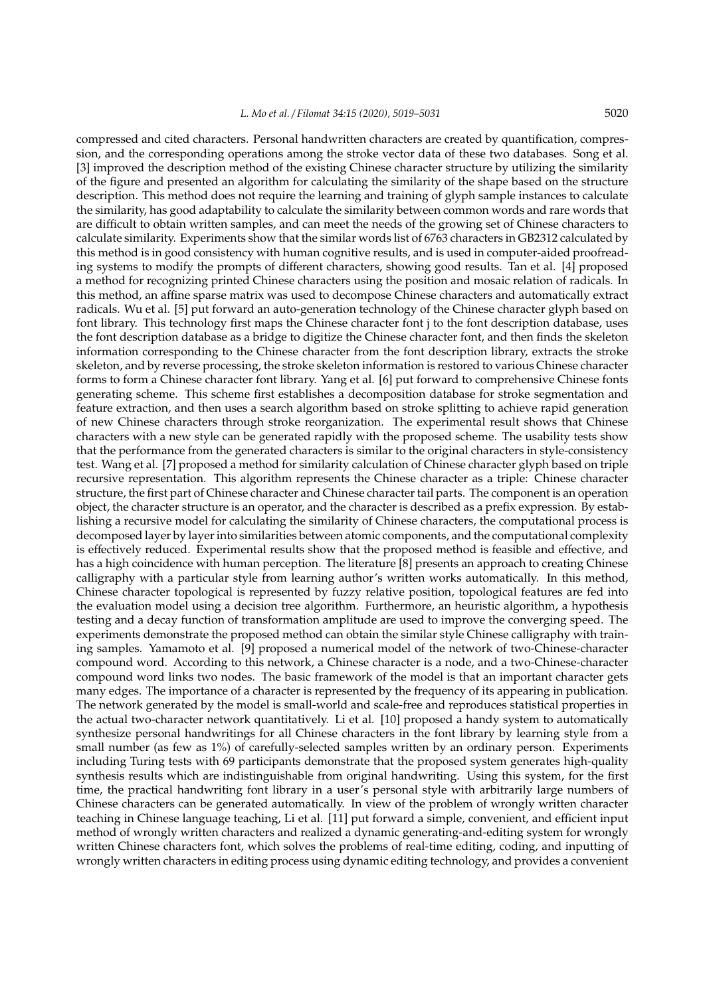compressed and cited characters. Personal handwritten characters are created by quantification, compression, and the corresponding operations among the stroke vector data of these two databases. Song et al. [3] improved the description method of the existing Chinese character structure by utilizing the similarity of the figure and presented an algorithm for calculating the similarity of the shape based on the structure description. This method does not require the learning and training of glyph sample instances to calculate the similarity, has good adaptability to calculate the similarity between common words and rare words that are difficult to obtain written samples, and can meet the needs of the growing set of Chinese characters to calculate similarity. Experiments show that the similar words list of 6763 characters in GB2312 calculated by this method is in good consistency with human cognitive results, and is used in computer-aided proofreading systems to modify the prompts of different characters, showing good results. Tan et al. [4] proposed a method for recognizing printed Chinese characters using the position and mosaic relation of radicals. In this method, an affine sparse matrix was used to decompose Chinese characters and automatically extract radicals. Wu et al. [5] put forward an auto-generation technology of the Chinese character glyph based on font library. This technology first maps the Chinese character font j to the font description database, uses the font description database as a bridge to digitize the Chinese character font, and then finds the skeleton information corresponding to the Chinese character from the font description library, extracts the stroke skeleton, and by reverse processing, the stroke skeleton information is restored to various Chinese character forms to form a Chinese character font library. Yang et al. [6] put forward to comprehensive Chinese fonts generating scheme. This scheme first establishes a decomposition database for stroke segmentation and feature extraction, and then uses a search algorithm based on stroke splitting to achieve rapid generation of new Chinese characters through stroke reorganization. The experimental result shows that Chinese characters with a new style can be generated rapidly with the proposed scheme. The usability tests show that the performance from the generated characters is similar to the original characters in style-consistency test. Wang et al. [7] proposed a method for similarity calculation of Chinese character glyph based on triple recursive representation. This algorithm represents the Chinese character as a triple: Chinese character structure, the first part of Chinese character and Chinese character tail parts. The component is an operation object, the character structure is an operator, and the character is described as a prefix expression. By establishing a recursive model for calculating the similarity of Chinese characters, the computational process is decomposed layer by layer into similarities between atomic components, and the computational complexity is effectively reduced. Experimental results show that the proposed method is feasible and effective, and has a high coincidence with human perception. The literature [8] presents an approach to creating Chinese calligraphy with a particular style from learning author's written works automatically. In this method, Chinese character topological is represented by fuzzy relative position, topological features are fed into the evaluation model using a decision tree algorithm. Furthermore, an heuristic algorithm, a hypothesis testing and a decay function of transformation amplitude are used to improve the converging speed. The experiments demonstrate the proposed method can obtain the similar style Chinese calligraphy with training samples. Yamamoto et al. [9] proposed a numerical model of the network of two-Chinese-character compound word. According to this network, a Chinese character is a node, and a two-Chinese-character compound word links two nodes. The basic framework of the model is that an important character gets many edges. The importance of a character is represented by the frequency of its appearing in publication. The network generated by the model is small-world and scale-free and reproduces statistical properties in the actual two-character network quantitatively. Li et al. [10] proposed a handy system to automatically synthesize personal handwritings for all Chinese characters in the font library by learning style from a small number (as few as 1%) of carefully-selected samples written by an ordinary person. Experiments including Turing tests with 69 participants demonstrate that the proposed system generates high-quality synthesis results which are indistinguishable from original handwriting. Using this system, for the first time, the practical handwriting font library in a user's personal style with arbitrarily large numbers of Chinese characters can be generated automatically. In view of the problem of wrongly written character teaching in Chinese language teaching, Li et al. [11] put forward a simple, convenient, and efficient input method of wrongly written characters and realized a dynamic generating-and-editing system for wrongly written Chinese characters font, which solves the problems of real-time editing, coding, and inputting of wrongly written characters in editing process using dynamic editing technology, and provides a convenient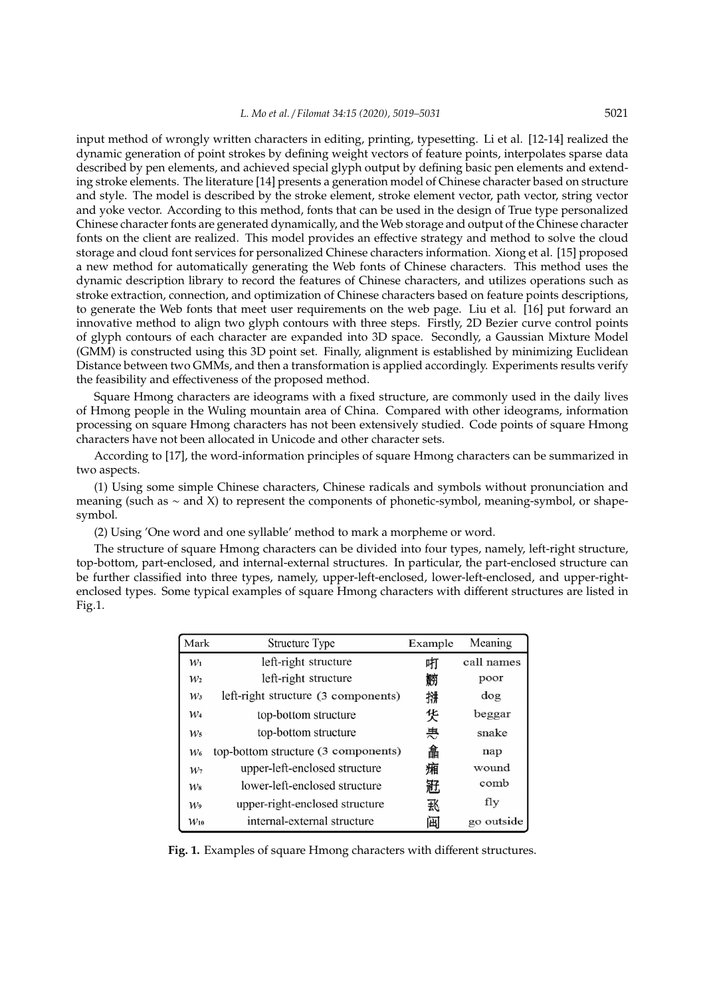input method of wrongly written characters in editing, printing, typesetting. Li et al. [12-14] realized the dynamic generation of point strokes by defining weight vectors of feature points, interpolates sparse data described by pen elements, and achieved special glyph output by defining basic pen elements and extending stroke elements. The literature [14] presents a generation model of Chinese character based on structure and style. The model is described by the stroke element, stroke element vector, path vector, string vector and yoke vector. According to this method, fonts that can be used in the design of True type personalized Chinese character fonts are generated dynamically, and the Web storage and output of the Chinese character fonts on the client are realized. This model provides an effective strategy and method to solve the cloud storage and cloud font services for personalized Chinese characters information. Xiong et al. [15] proposed a new method for automatically generating the Web fonts of Chinese characters. This method uses the dynamic description library to record the features of Chinese characters, and utilizes operations such as stroke extraction, connection, and optimization of Chinese characters based on feature points descriptions, to generate the Web fonts that meet user requirements on the web page. Liu et al. [16] put forward an innovative method to align two glyph contours with three steps. Firstly, 2D Bezier curve control points of glyph contours of each character are expanded into 3D space. Secondly, a Gaussian Mixture Model (GMM) is constructed using this 3D point set. Finally, alignment is established by minimizing Euclidean Distance between two GMMs, and then a transformation is applied accordingly. Experiments results verify the feasibility and effectiveness of the proposed method.

Square Hmong characters are ideograms with a fixed structure, are commonly used in the daily lives of Hmong people in the Wuling mountain area of China. Compared with other ideograms, information processing on square Hmong characters has not been extensively studied. Code points of square Hmong characters have not been allocated in Unicode and other character sets.

According to [17], the word-information principles of square Hmong characters can be summarized in two aspects.

(1) Using some simple Chinese characters, Chinese radicals and symbols without pronunciation and meaning (such as ∼ and X) to represent the components of phonetic-symbol, meaning-symbol, or shapesymbol.

(2) Using 'One word and one syllable' method to mark a morpheme or word.

The structure of square Hmong characters can be divided into four types, namely, left-right structure, top-bottom, part-enclosed, and internal-external structures. In particular, the part-enclosed structure can be further classified into three types, namely, upper-left-enclosed, lower-left-enclosed, and upper-rightenclosed types. Some typical examples of square Hmong characters with different structures are listed in Fig.1.

| Mark     | Structure Type                      | Example | Meaning    |
|----------|-------------------------------------|---------|------------|
| $W_1$    | left-right structure                | 咑       | call names |
| $W_2$    | left-right structure                | 軂       | poor       |
| $W_3$    | left-right structure (3 components) | 拼       | dog        |
| $W_4$    | top-bottom structure                | 货       | beggar     |
| $W_5$    | top-bottom structure                | 惠       | snake      |
| $W_6$    | top-bottom structure (3 components) | 畣       | nap        |
| $W_7$    | upper-left-enclosed structure       | 廂       | wound      |
| $W_8$    | lower-left-enclosed structure       | 赿       | comb       |
| $W_9$    | upper-right-enclosed structure      | 我       | fly        |
| $W_{10}$ | internal-external structure         | 闽       | go outside |

**Fig. 1.** Examples of square Hmong characters with different structures.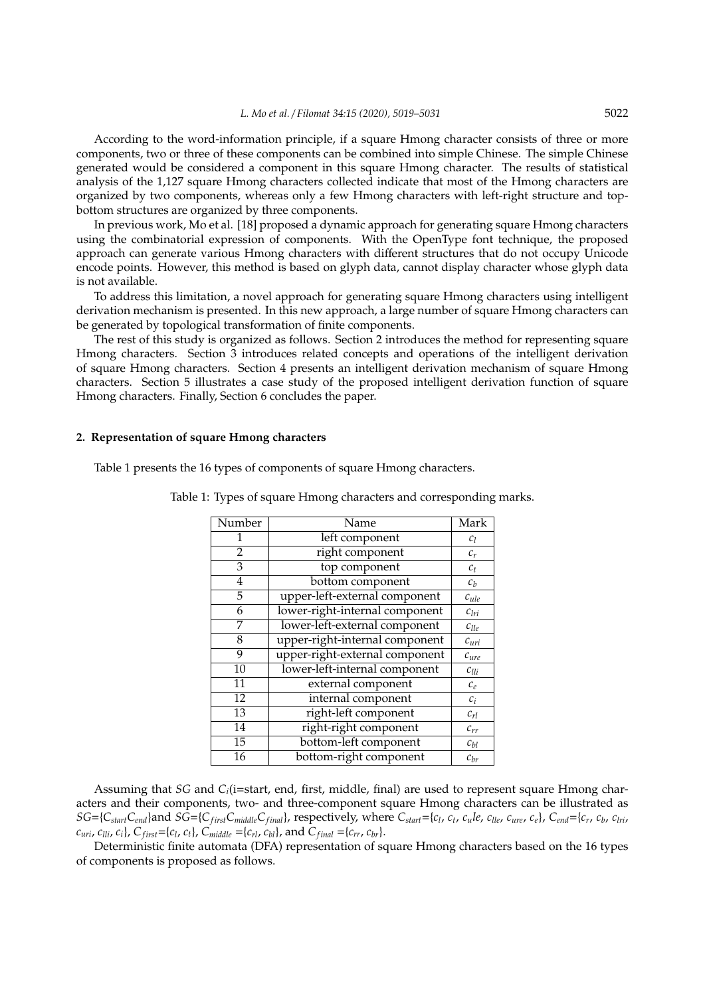According to the word-information principle, if a square Hmong character consists of three or more components, two or three of these components can be combined into simple Chinese. The simple Chinese generated would be considered a component in this square Hmong character. The results of statistical analysis of the 1,127 square Hmong characters collected indicate that most of the Hmong characters are organized by two components, whereas only a few Hmong characters with left-right structure and topbottom structures are organized by three components.

In previous work, Mo et al. [18] proposed a dynamic approach for generating square Hmong characters using the combinatorial expression of components. With the OpenType font technique, the proposed approach can generate various Hmong characters with different structures that do not occupy Unicode encode points. However, this method is based on glyph data, cannot display character whose glyph data is not available.

To address this limitation, a novel approach for generating square Hmong characters using intelligent derivation mechanism is presented. In this new approach, a large number of square Hmong characters can be generated by topological transformation of finite components.

The rest of this study is organized as follows. Section 2 introduces the method for representing square Hmong characters. Section 3 introduces related concepts and operations of the intelligent derivation of square Hmong characters. Section 4 presents an intelligent derivation mechanism of square Hmong characters. Section 5 illustrates a case study of the proposed intelligent derivation function of square Hmong characters. Finally, Section 6 concludes the paper.

## **2. Representation of square Hmong characters**

Table 1 presents the 16 types of components of square Hmong characters.

| Number          | Name                           | Mark                    |
|-----------------|--------------------------------|-------------------------|
|                 | left component                 | $c_l$                   |
| $\overline{2}$  | right component                | $c_r$                   |
| 3               | top component                  | $c_t$                   |
| 4               | bottom component               | $\mathcal{C}_b$         |
| 5               | upper-left-external component  | $c_{ule}$               |
| 6               | lower-right-internal component | $\mathcal{C}_{lri}$     |
| 7               | lower-left-external component  | $c_{lle}$               |
| 8               | upper-right-internal component | $c_{uri}$               |
| 9               | upper-right-external component | $c_{ure}$               |
| $\overline{10}$ | lower-left-internal component  | $c_{lli}$               |
| 11              | external component             | $\mathcal{C}_{\varrho}$ |
| $\overline{12}$ | internal component             | $c_i$                   |
| 13              | right-left component           | $c_{rl}$                |
| 14              | right-right component          | $c_{rr}$                |
| $\overline{15}$ | bottom-left component          | $c_{bl}$                |
| 16              | bottom-right component         | $c_{br}$                |

Table 1: Types of square Hmong characters and corresponding marks.

Assuming that *SG* and *Ci*(i=start, end, first, middle, final) are used to represent square Hmong characters and their components, two- and three-component square Hmong characters can be illustrated as  $SG = \{C_{start}C_{end}\}$  and  $SG = \{C_{first}C_{middle}C_{final}\}$ , respectively, where  $C_{start} = \{c_l, c_t, c_ule, c_{lle}, c_{ure}, c_e\}$ ,  $C_{end} = \{c_r, c_b, c_{lri}, c_{hri} = c_{f}$  $c_{uri}$ ,  $c_{lli}$ ,  $c_i$ ,  $C_{first}$ ={ $c_l$ ,  $c_t$ },  $C_{middle}$  ={ $c_{rl}$ ,  $c_{bl}$ }, and  $C_{final}$  ={ $c_{rr}$ ,  $c_{br}$ }.

Deterministic finite automata (DFA) representation of square Hmong characters based on the 16 types of components is proposed as follows.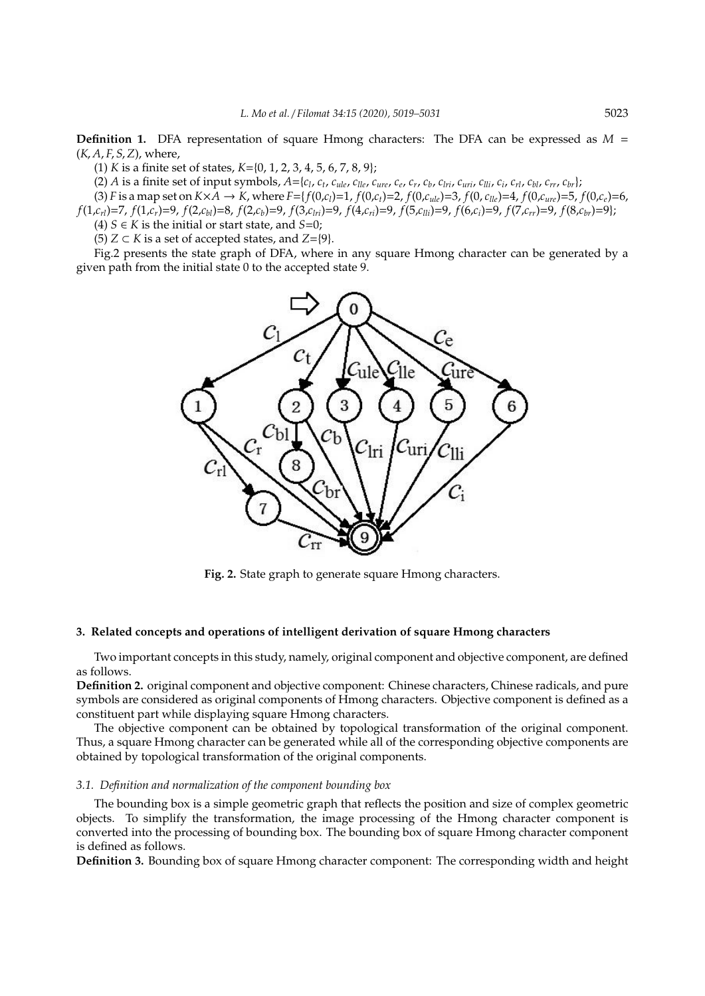**Definition 1.** DFA representation of square Hmong characters: The DFA can be expressed as  $M =$ (*K*, *A*, *F*, *S*,*Z*), where,

(1) *K* is a finite set of states, *K*={0, 1, 2, 3, 4, 5, 6, 7, 8, 9};

(2) A is a finite set of input symbols,  $A = \{c_1, c_t, c_{ule}, c_{lle}, c_{ure}, c_e, c_r, c_b, c_{lri}, c_{uri}, c_{lli}, c_i, c_{rl}, c_{bl}, c_{rr}, c_{br}\}$ 

(3) *F* is a map set on  $K \times \bar{A} \to K$ , where  $F = \{f(0,c_i) = 1, f(0,c_t) = 2, f(0,c_{ule}) = 3, f(0,c_{lle}) = 4, f(0,c_{ure}) = 5, f(0,c_e) = 6,$  $f(1,c_{ri})=7$ ,  $f(1,c_r)=9$ ,  $f(2,c_{bi})=8$ ,  $f(2,c_b)=9$ ,  $f(3,c_{1ri})=9$ ,  $f(4,c_{ri})=9$ ,  $f(5,c_{1li})=9$ ,  $f(6,c_i)=9$ ,  $f(7,c_{rr})=9$ ,  $f(8,c_{br})=9$ ); (4) *S* ∈ *K* is the initial or start state, and *S*=0;

(5) *Z* ⊂ *K* is a set of accepted states, and *Z*={9}.

Fig.2 presents the state graph of DFA, where in any square Hmong character can be generated by a given path from the initial state 0 to the accepted state 9.



**Fig. 2.** State graph to generate square Hmong characters.

## **3. Related concepts and operations of intelligent derivation of square Hmong characters**

Two important concepts in this study, namely, original component and objective component, are defined as follows.

**Definition 2.** original component and objective component: Chinese characters, Chinese radicals, and pure symbols are considered as original components of Hmong characters. Objective component is defined as a constituent part while displaying square Hmong characters.

The objective component can be obtained by topological transformation of the original component. Thus, a square Hmong character can be generated while all of the corresponding objective components are obtained by topological transformation of the original components.

## *3.1. Definition and normalization of the component bounding box*

The bounding box is a simple geometric graph that reflects the position and size of complex geometric objects. To simplify the transformation, the image processing of the Hmong character component is converted into the processing of bounding box. The bounding box of square Hmong character component is defined as follows.

**Definition 3.** Bounding box of square Hmong character component: The corresponding width and height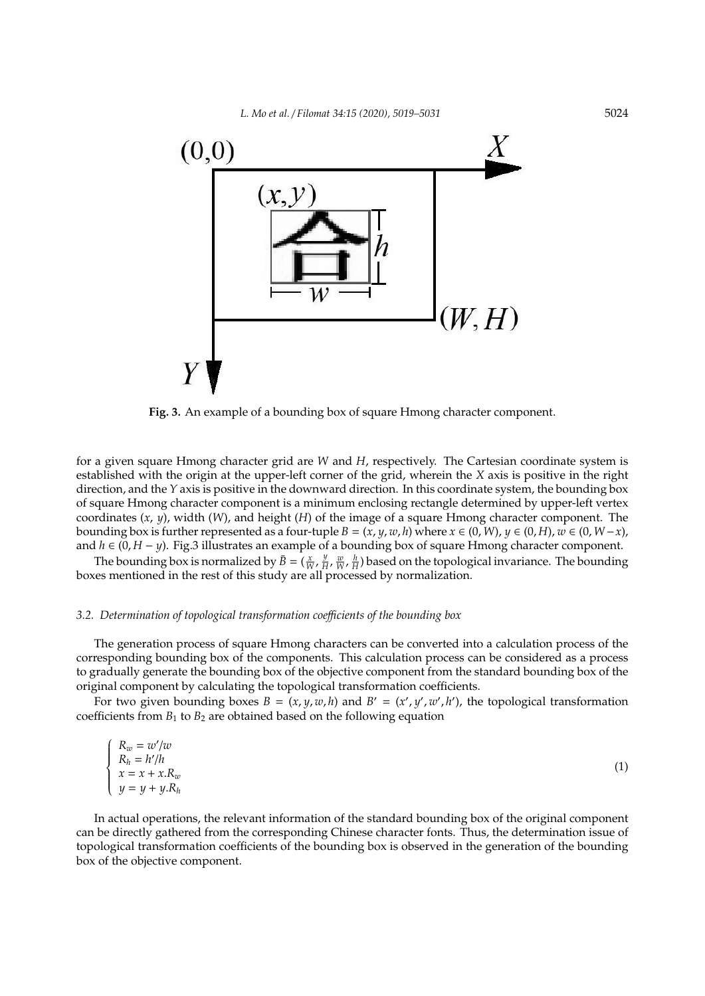

**Fig. 3.** An example of a bounding box of square Hmong character component.

for a given square Hmong character grid are *W* and *H*, respectively. The Cartesian coordinate system is established with the origin at the upper-left corner of the grid, wherein the *X* axis is positive in the right direction, and the *Y* axis is positive in the downward direction. In this coordinate system, the bounding box of square Hmong character component is a minimum enclosing rectangle determined by upper-left vertex coordinates (*x*, *y*), width (*W*), and height (*H*) of the image of a square Hmong character component. The bounding box is further represented as a four-tuple  $B = (x, y, w, h)$  where  $x \in (0, W)$ ,  $y \in (0, H)$ ,  $w \in (0, W - x)$ , and *h* ∈ (0, *H* − *y*). Fig.3 illustrates an example of a bounding box of square Hmong character component.

The bounding box is normalized by  $\bar{B} = (\frac{x}{W}, \frac{y}{H})$  $\frac{y}{H}$ ,  $\frac{w}{W}$ ,  $\frac{h}{H}$ ) based on the topological invariance. The bounding boxes mentioned in the rest of this study are all processed by normalization.

## *3.2. Determination of topological transformation coe*ffi*cients of the bounding box*

The generation process of square Hmong characters can be converted into a calculation process of the corresponding bounding box of the components. This calculation process can be considered as a process to gradually generate the bounding box of the objective component from the standard bounding box of the original component by calculating the topological transformation coefficients.

For two given bounding boxes  $B = (x, y, w, h)$  and  $B' = (x', y', w', h')$ , the topological transformation coefficients from  $B_1$  to  $B_2$  are obtained based on the following equation

$$
\begin{cases}\nR_w = w'/w \\
R_h = h'/h \\
x = x + x.R_w \\
y = y + y.R_h\n\end{cases}
$$
\n(1)

In actual operations, the relevant information of the standard bounding box of the original component can be directly gathered from the corresponding Chinese character fonts. Thus, the determination issue of topological transformation coefficients of the bounding box is observed in the generation of the bounding box of the objective component.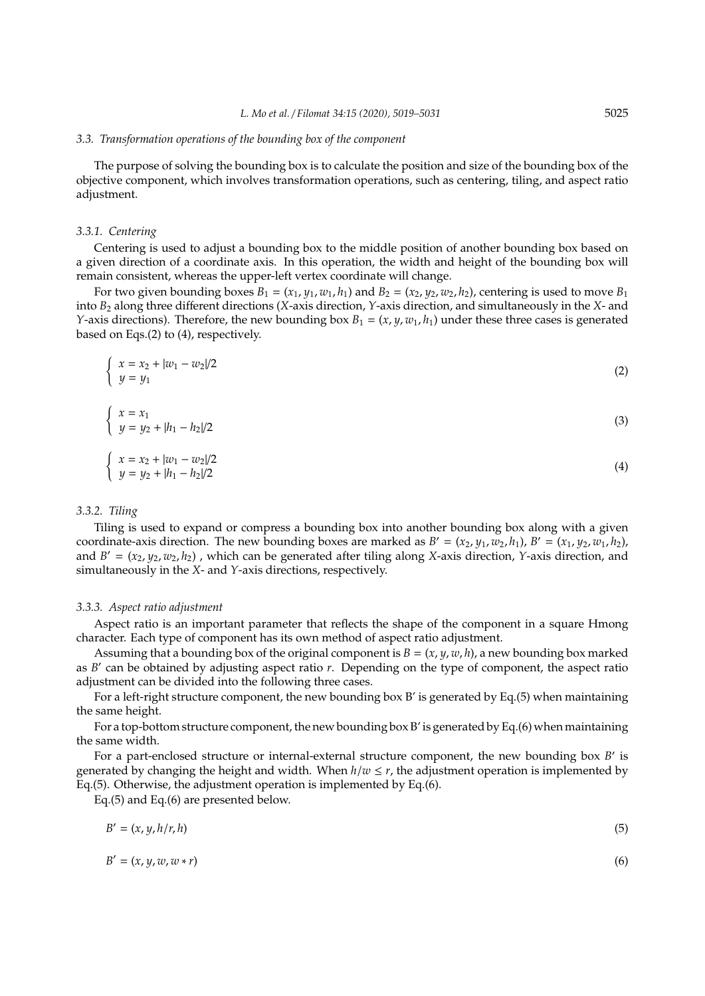#### *3.3. Transformation operations of the bounding box of the component*

The purpose of solving the bounding box is to calculate the position and size of the bounding box of the objective component, which involves transformation operations, such as centering, tiling, and aspect ratio adjustment.

#### *3.3.1. Centering*

Centering is used to adjust a bounding box to the middle position of another bounding box based on a given direction of a coordinate axis. In this operation, the width and height of the bounding box will remain consistent, whereas the upper-left vertex coordinate will change.

For two given bounding boxes  $B_1 = (x_1, y_1, w_1, h_1)$  and  $B_2 = (x_2, y_2, w_2, h_2)$ , centering is used to move  $B_1$ into *B*<sup>2</sup> along three different directions (*X*-axis direction, *Y*-axis direction, and simultaneously in the *X*- and *Y*-axis directions). Therefore, the new bounding box  $B_1 = (x, y, w_1, h_1)$  under these three cases is generated based on Eqs.(2) to (4), respectively.

$$
\begin{cases}\n x = x_2 + |w_1 - w_2|/2 \\
 y = y_1\n\end{cases}
$$
\n(2)

$$
\begin{cases}\n x = x_1 \\
 y = y_2 + |h_1 - h_2|/2\n\end{cases}
$$
\n(3)

$$
\begin{cases}\n x = x_2 + |w_1 - w_2|/2 \\
 y = y_2 + |h_1 - h_2|/2\n\end{cases}
$$
\n(4)

## *3.3.2. Tiling*

Tiling is used to expand or compress a bounding box into another bounding box along with a given coordinate-axis direction. The new bounding boxes are marked as  $B' = (x_2, y_1, w_2, h_1)$ ,  $B' = (x_1, y_2, w_1, h_2)$ , and  $B' = (x_2, y_2, w_2, h_2)$ , which can be generated after tiling along *X*-axis direction, *Y*-axis direction, and simultaneously in the *X*- and *Y*-axis directions, respectively.

## *3.3.3. Aspect ratio adjustment*

Aspect ratio is an important parameter that reflects the shape of the component in a square Hmong character. Each type of component has its own method of aspect ratio adjustment.

Assuming that a bounding box of the original component is  $B = (x, y, w, h)$ , a new bounding box marked as *B'* can be obtained by adjusting aspect ratio *r*. Depending on the type of component, the aspect ratio adjustment can be divided into the following three cases.

For a left-right structure component, the new bounding box B' is generated by Eq.(5) when maintaining the same height.

For a top-bottom structure component, the new bounding box B' is generated by Eq.(6) when maintaining the same width.

For a part-enclosed structure or internal-external structure component, the new bounding box *B'* is generated by changing the height and width. When  $h/w \leq r$ , the adjustment operation is implemented by Eq.(5). Otherwise, the adjustment operation is implemented by Eq.(6).

Eq.(5) and Eq.(6) are presented below.

$$
B' = (x, y, h/r, h) \tag{5}
$$

$$
B' = (x, y, w, w * r) \tag{6}
$$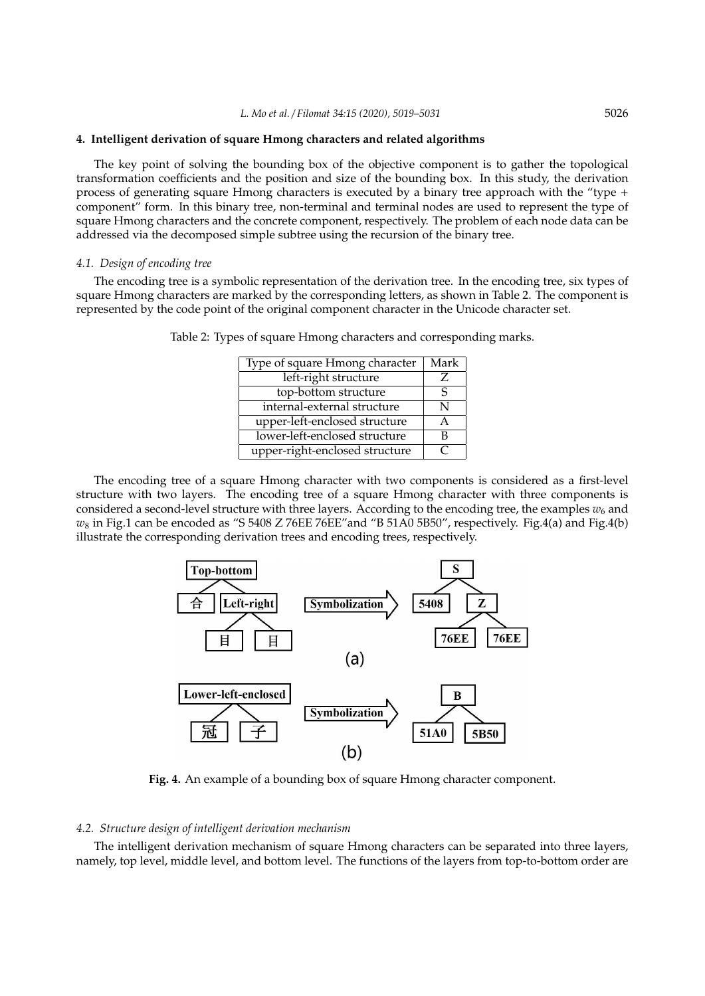## **4. Intelligent derivation of square Hmong characters and related algorithms**

The key point of solving the bounding box of the objective component is to gather the topological transformation coefficients and the position and size of the bounding box. In this study, the derivation process of generating square Hmong characters is executed by a binary tree approach with the "type + component" form. In this binary tree, non-terminal and terminal nodes are used to represent the type of square Hmong characters and the concrete component, respectively. The problem of each node data can be addressed via the decomposed simple subtree using the recursion of the binary tree.

## *4.1. Design of encoding tree*

The encoding tree is a symbolic representation of the derivation tree. In the encoding tree, six types of square Hmong characters are marked by the corresponding letters, as shown in Table 2. The component is represented by the code point of the original component character in the Unicode character set.

| Type of square Hmong character | Mark |
|--------------------------------|------|
| left-right structure           |      |
| top-bottom structure           |      |
| internal-external structure    | N    |
| upper-left-enclosed structure  |      |
| lower-left-enclosed structure  | В    |
| upper-right-enclosed structure |      |

Table 2: Types of square Hmong characters and corresponding marks.

The encoding tree of a square Hmong character with two components is considered as a first-level structure with two layers. The encoding tree of a square Hmong character with three components is considered a second-level structure with three layers. According to the encoding tree, the examples  $w_6$  and *w*<sup>8</sup> in Fig.1 can be encoded as "S 5408 Z 76EE 76EE"and "B 51A0 5B50", respectively. Fig.4(a) and Fig.4(b) illustrate the corresponding derivation trees and encoding trees, respectively.



**Fig. 4.** An example of a bounding box of square Hmong character component.

## *4.2. Structure design of intelligent derivation mechanism*

The intelligent derivation mechanism of square Hmong characters can be separated into three layers, namely, top level, middle level, and bottom level. The functions of the layers from top-to-bottom order are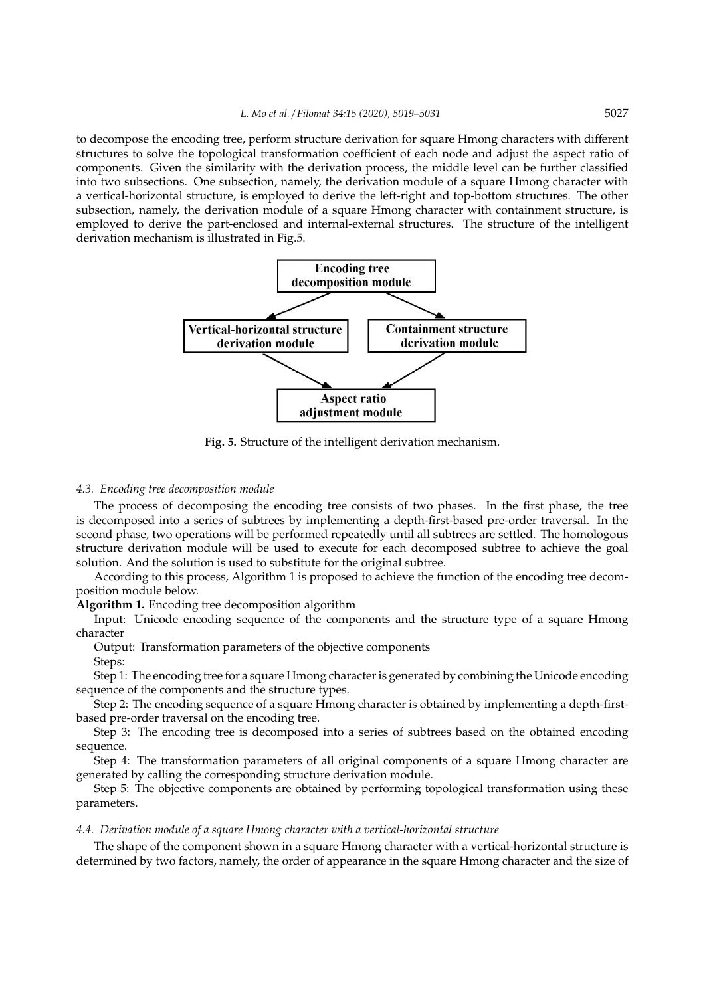to decompose the encoding tree, perform structure derivation for square Hmong characters with different structures to solve the topological transformation coefficient of each node and adjust the aspect ratio of components. Given the similarity with the derivation process, the middle level can be further classified into two subsections. One subsection, namely, the derivation module of a square Hmong character with a vertical-horizontal structure, is employed to derive the left-right and top-bottom structures. The other subsection, namely, the derivation module of a square Hmong character with containment structure, is employed to derive the part-enclosed and internal-external structures. The structure of the intelligent derivation mechanism is illustrated in Fig.5.



**Fig. 5.** Structure of the intelligent derivation mechanism.

## *4.3. Encoding tree decomposition module*

The process of decomposing the encoding tree consists of two phases. In the first phase, the tree is decomposed into a series of subtrees by implementing a depth-first-based pre-order traversal. In the second phase, two operations will be performed repeatedly until all subtrees are settled. The homologous structure derivation module will be used to execute for each decomposed subtree to achieve the goal solution. And the solution is used to substitute for the original subtree.

According to this process, Algorithm 1 is proposed to achieve the function of the encoding tree decomposition module below.

**Algorithm 1.** Encoding tree decomposition algorithm

Input: Unicode encoding sequence of the components and the structure type of a square Hmong character

Output: Transformation parameters of the objective components

Steps:

Step 1: The encoding tree for a square Hmong character is generated by combining the Unicode encoding sequence of the components and the structure types.

Step 2: The encoding sequence of a square Hmong character is obtained by implementing a depth-firstbased pre-order traversal on the encoding tree.

Step 3: The encoding tree is decomposed into a series of subtrees based on the obtained encoding sequence.

Step 4: The transformation parameters of all original components of a square Hmong character are generated by calling the corresponding structure derivation module.

Step 5: The objective components are obtained by performing topological transformation using these parameters.

## *4.4. Derivation module of a square Hmong character with a vertical-horizontal structure*

The shape of the component shown in a square Hmong character with a vertical-horizontal structure is determined by two factors, namely, the order of appearance in the square Hmong character and the size of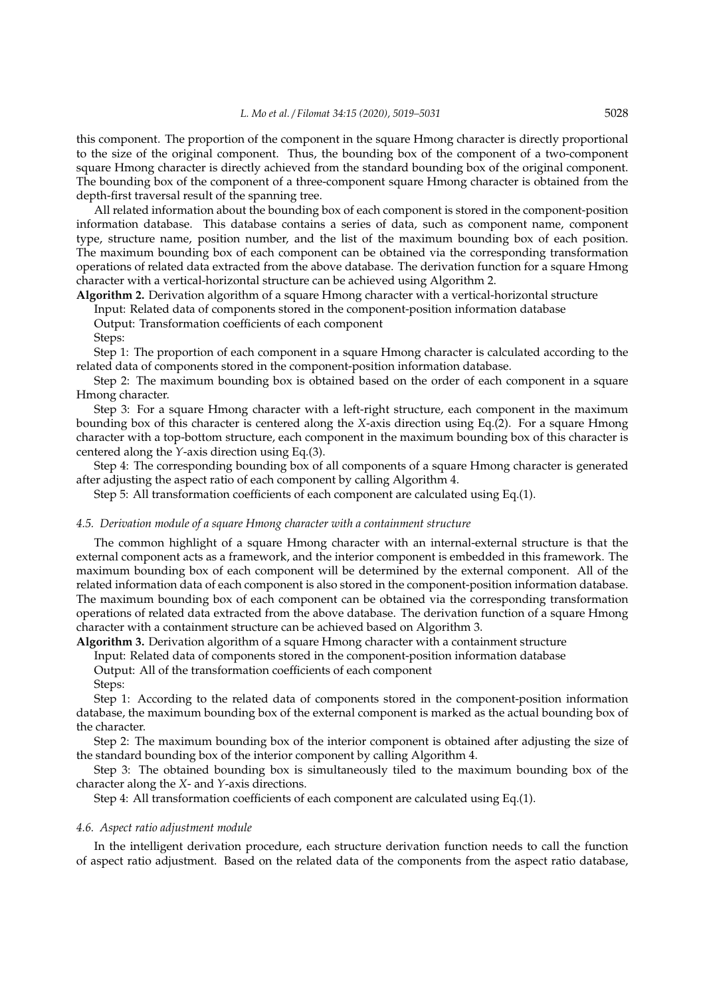this component. The proportion of the component in the square Hmong character is directly proportional to the size of the original component. Thus, the bounding box of the component of a two-component square Hmong character is directly achieved from the standard bounding box of the original component. The bounding box of the component of a three-component square Hmong character is obtained from the depth-first traversal result of the spanning tree.

All related information about the bounding box of each component is stored in the component-position information database. This database contains a series of data, such as component name, component type, structure name, position number, and the list of the maximum bounding box of each position. The maximum bounding box of each component can be obtained via the corresponding transformation operations of related data extracted from the above database. The derivation function for a square Hmong character with a vertical-horizontal structure can be achieved using Algorithm 2.

**Algorithm 2.** Derivation algorithm of a square Hmong character with a vertical-horizontal structure

Input: Related data of components stored in the component-position information database

Output: Transformation coefficients of each component

Steps:

Step 1: The proportion of each component in a square Hmong character is calculated according to the related data of components stored in the component-position information database.

Step 2: The maximum bounding box is obtained based on the order of each component in a square Hmong character.

Step 3: For a square Hmong character with a left-right structure, each component in the maximum bounding box of this character is centered along the *X*-axis direction using Eq.(2). For a square Hmong character with a top-bottom structure, each component in the maximum bounding box of this character is centered along the *Y*-axis direction using Eq.(3).

Step 4: The corresponding bounding box of all components of a square Hmong character is generated after adjusting the aspect ratio of each component by calling Algorithm 4.

Step 5: All transformation coefficients of each component are calculated using Eq.(1).

## *4.5. Derivation module of a square Hmong character with a containment structure*

The common highlight of a square Hmong character with an internal-external structure is that the external component acts as a framework, and the interior component is embedded in this framework. The maximum bounding box of each component will be determined by the external component. All of the related information data of each component is also stored in the component-position information database. The maximum bounding box of each component can be obtained via the corresponding transformation operations of related data extracted from the above database. The derivation function of a square Hmong character with a containment structure can be achieved based on Algorithm 3.

**Algorithm 3.** Derivation algorithm of a square Hmong character with a containment structure

Input: Related data of components stored in the component-position information database Output: All of the transformation coefficients of each component

Steps:

Step 1: According to the related data of components stored in the component-position information database, the maximum bounding box of the external component is marked as the actual bounding box of the character.

Step 2: The maximum bounding box of the interior component is obtained after adjusting the size of the standard bounding box of the interior component by calling Algorithm 4.

Step 3: The obtained bounding box is simultaneously tiled to the maximum bounding box of the character along the *X*- and *Y*-axis directions.

Step 4: All transformation coefficients of each component are calculated using Eq.(1).

## *4.6. Aspect ratio adjustment module*

In the intelligent derivation procedure, each structure derivation function needs to call the function of aspect ratio adjustment. Based on the related data of the components from the aspect ratio database,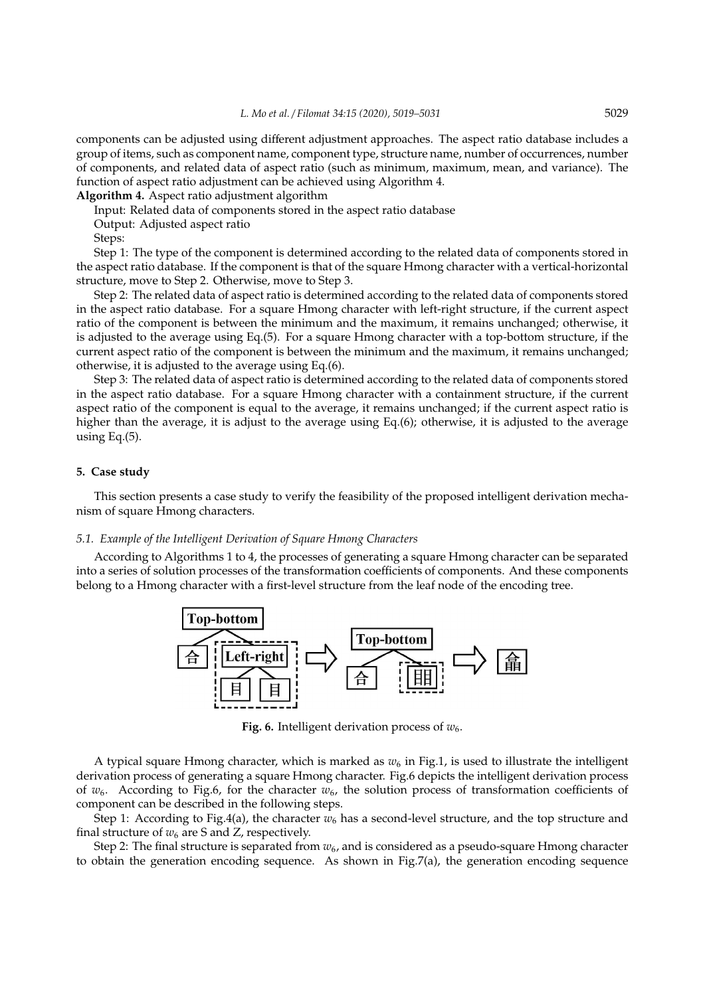components can be adjusted using different adjustment approaches. The aspect ratio database includes a group of items, such as component name, component type, structure name, number of occurrences, number of components, and related data of aspect ratio (such as minimum, maximum, mean, and variance). The function of aspect ratio adjustment can be achieved using Algorithm 4.

**Algorithm 4.** Aspect ratio adjustment algorithm

Input: Related data of components stored in the aspect ratio database

Output: Adjusted aspect ratio

Steps:

Step 1: The type of the component is determined according to the related data of components stored in the aspect ratio database. If the component is that of the square Hmong character with a vertical-horizontal structure, move to Step 2. Otherwise, move to Step 3.

Step 2: The related data of aspect ratio is determined according to the related data of components stored in the aspect ratio database. For a square Hmong character with left-right structure, if the current aspect ratio of the component is between the minimum and the maximum, it remains unchanged; otherwise, it is adjusted to the average using Eq.(5). For a square Hmong character with a top-bottom structure, if the current aspect ratio of the component is between the minimum and the maximum, it remains unchanged; otherwise, it is adjusted to the average using Eq.(6).

Step 3: The related data of aspect ratio is determined according to the related data of components stored in the aspect ratio database. For a square Hmong character with a containment structure, if the current aspect ratio of the component is equal to the average, it remains unchanged; if the current aspect ratio is higher than the average, it is adjust to the average using Eq.(6); otherwise, it is adjusted to the average using Eq.(5).

## **5. Case study**

This section presents a case study to verify the feasibility of the proposed intelligent derivation mechanism of square Hmong characters.

## *5.1. Example of the Intelligent Derivation of Square Hmong Characters*

According to Algorithms 1 to 4, the processes of generating a square Hmong character can be separated into a series of solution processes of the transformation coefficients of components. And these components belong to a Hmong character with a first-level structure from the leaf node of the encoding tree.



**Fig. 6.** Intelligent derivation process of  $w_6$ .

A typical square Hmong character, which is marked as  $w_6$  in Fig.1, is used to illustrate the intelligent derivation process of generating a square Hmong character. Fig.6 depicts the intelligent derivation process of  $w_6$ . According to Fig.6, for the character  $w_6$ , the solution process of transformation coefficients of component can be described in the following steps.

Step 1: According to Fig.4(a), the character  $w_6$  has a second-level structure, and the top structure and final structure of  $w_6$  are S and Z, respectively.

Step 2: The final structure is separated from  $w_6$ , and is considered as a pseudo-square Hmong character to obtain the generation encoding sequence. As shown in Fig.7(a), the generation encoding sequence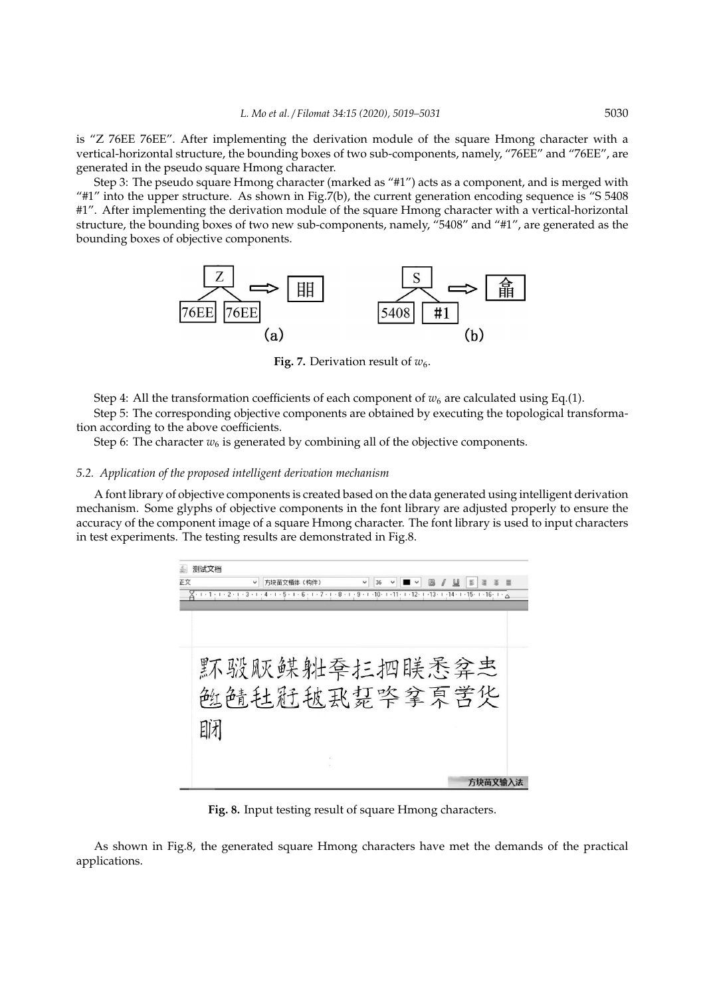is "Z 76EE 76EE". After implementing the derivation module of the square Hmong character with a vertical-horizontal structure, the bounding boxes of two sub-components, namely, "76EE" and "76EE", are generated in the pseudo square Hmong character.

Step 3: The pseudo square Hmong character (marked as "#1") acts as a component, and is merged with "#1" into the upper structure. As shown in Fig.7(b), the current generation encoding sequence is "S 5408 #1". After implementing the derivation module of the square Hmong character with a vertical-horizontal structure, the bounding boxes of two new sub-components, namely, "5408" and "#1", are generated as the bounding boxes of objective components.



**Fig. 7.** Derivation result of  $w_6$ .

Step 4: All the transformation coefficients of each component of  $w_6$  are calculated using Eq.(1). Step 5: The corresponding objective components are obtained by executing the topological transformation according to the above coefficients.

Step 6: The character  $w_6$  is generated by combining all of the objective components.

## *5.2. Application of the proposed intelligent derivation mechanism*

A font library of objective components is created based on the data generated using intelligent derivation mechanism. Some glyphs of objective components in the font library are adjusted properly to ensure the accuracy of the component image of a square Hmong character. The font library is used to input characters in test experiments. The testing results are demonstrated in Fig.8.

|    | 测试文档 |                                                                                                                                          |    |  |    |          |  |
|----|------|------------------------------------------------------------------------------------------------------------------------------------------|----|--|----|----------|--|
| 正文 |      | 方块苗文楷体(构件)                                                                                                                               | 36 |  | E. | 僵<br>一番) |  |
|    |      | ∑ + + 1 + + + 2 + + + 3 + + + 4 + + + 5 + + + 6 + + + 7 + + + 8 + + + 9 + + 10 + + 11 + + + 12 + + +13 + + +14 + + 15 + + 16 + + - - - - |    |  |    |          |  |
|    |      |                                                                                                                                          |    |  |    |          |  |
|    |      |                                                                                                                                          |    |  |    |          |  |
|    |      |                                                                                                                                          |    |  |    |          |  |
|    |      | 环骏贩鲽舭季扛把联悉弅志                                                                                                                             |    |  |    |          |  |
|    |      |                                                                                                                                          |    |  |    |          |  |
|    |      | 触鲭钍新耚厾瑟毕拿冥苦华                                                                                                                             |    |  |    |          |  |
|    |      |                                                                                                                                          |    |  |    |          |  |
|    | 即才   |                                                                                                                                          |    |  |    |          |  |
|    |      |                                                                                                                                          |    |  |    |          |  |
|    |      |                                                                                                                                          |    |  |    |          |  |
|    |      |                                                                                                                                          |    |  |    |          |  |
|    |      |                                                                                                                                          |    |  |    | 方块苗文输入法  |  |

**Fig. 8.** Input testing result of square Hmong characters.

As shown in Fig.8, the generated square Hmong characters have met the demands of the practical applications.